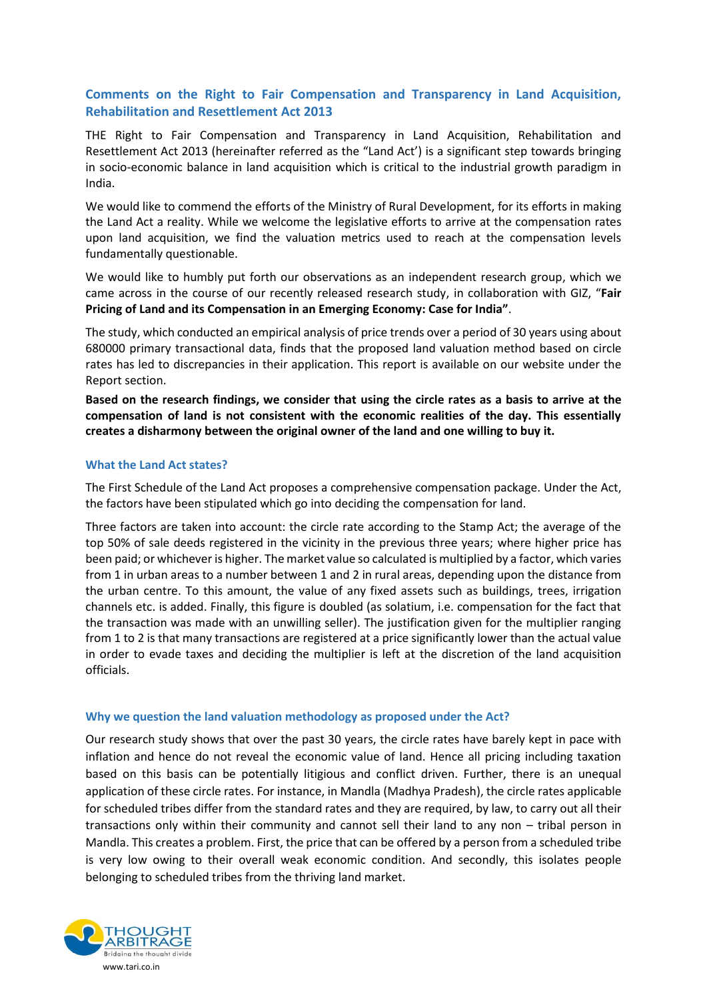## **Comments on the Right to Fair Compensation and Transparency in Land Acquisition, Rehabilitation and Resettlement Act 2013**

THE Right to Fair Compensation and Transparency in Land Acquisition, Rehabilitation and Resettlement Act 2013 (hereinafter referred as the "Land Act') is a significant step towards bringing in socio-economic balance in land acquisition which is critical to the industrial growth paradigm in India.

We would like to commend the efforts of the Ministry of Rural Development, for its efforts in making the Land Act a reality. While we welcome the legislative efforts to arrive at the compensation rates upon land acquisition, we find the valuation metrics used to reach at the compensation levels fundamentally questionable.

We would like to humbly put forth our observations as an independent research group, which we came across in the course of our recently released research study, in collaboration with GIZ, "**Fair Pricing of Land and its Compensation in an Emerging Economy: Case for India"**.

The study, which conducted an empirical analysis of price trends over a period of 30 years using about 680000 primary transactional data, finds that the proposed land valuation method based on circle rates has led to discrepancies in their application. This report is available on our website under the Report section.

**Based on the research findings, we consider that using the circle rates as a basis to arrive at the compensation of land is not consistent with the economic realities of the day. This essentially creates a disharmony between the original owner of the land and one willing to buy it.**

#### **What the Land Act states?**

The First Schedule of the Land Act proposes a comprehensive compensation package. Under the Act, the factors have been stipulated which go into deciding the compensation for land.

Three factors are taken into account: the circle rate according to the Stamp Act; the average of the top 50% of sale deeds registered in the vicinity in the previous three years; where higher price has been paid; or whichever is higher. The market value so calculated is multiplied by a factor, which varies from 1 in urban areas to a number between 1 and 2 in rural areas, depending upon the distance from the urban centre. To this amount, the value of any fixed assets such as buildings, trees, irrigation channels etc. is added. Finally, this figure is doubled (as solatium, i.e. compensation for the fact that the transaction was made with an unwilling seller). The justification given for the multiplier ranging from 1 to 2 is that many transactions are registered at a price significantly lower than the actual value in order to evade taxes and deciding the multiplier is left at the discretion of the land acquisition officials.

#### **Why we question the land valuation methodology as proposed under the Act?**

Our research study shows that over the past 30 years, the circle rates have barely kept in pace with inflation and hence do not reveal the economic value of land. Hence all pricing including taxation based on this basis can be potentially litigious and conflict driven. Further, there is an unequal application of these circle rates. For instance, in Mandla (Madhya Pradesh), the circle rates applicable for scheduled tribes differ from the standard rates and they are required, by law, to carry out all their transactions only within their community and cannot sell their land to any non – tribal person in Mandla. This creates a problem. First, the price that can be offered by a person from a scheduled tribe is very low owing to their overall weak economic condition. And secondly, this isolates people belonging to scheduled tribes from the thriving land market.

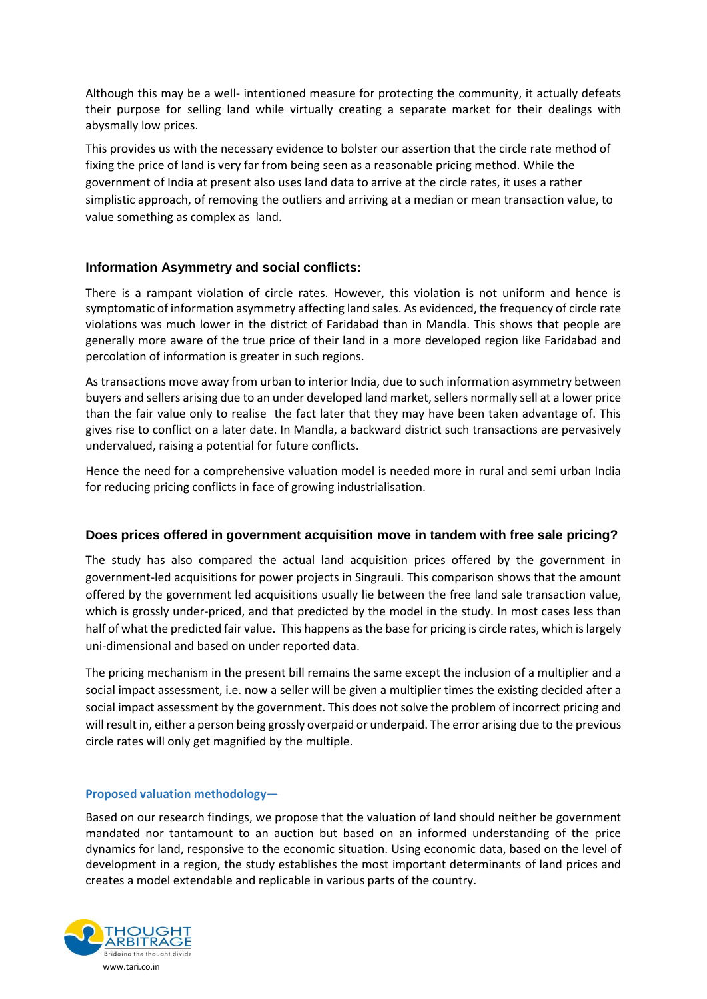Although this may be a well- intentioned measure for protecting the community, it actually defeats their purpose for selling land while virtually creating a separate market for their dealings with abysmally low prices.

This provides us with the necessary evidence to bolster our assertion that the circle rate method of fixing the price of land is very far from being seen as a reasonable pricing method. While the government of India at present also uses land data to arrive at the circle rates, it uses a rather simplistic approach, of removing the outliers and arriving at a median or mean transaction value, to value something as complex as land.

## **Information Asymmetry and social conflicts:**

There is a rampant violation of circle rates. However, this violation is not uniform and hence is symptomatic of information asymmetry affecting land sales. As evidenced, the frequency of circle rate violations was much lower in the district of Faridabad than in Mandla. This shows that people are generally more aware of the true price of their land in a more developed region like Faridabad and percolation of information is greater in such regions.

As transactions move away from urban to interior India, due to such information asymmetry between buyers and sellers arising due to an under developed land market, sellers normally sell at a lower price than the fair value only to realise the fact later that they may have been taken advantage of. This gives rise to conflict on a later date. In Mandla, a backward district such transactions are pervasively undervalued, raising a potential for future conflicts.

Hence the need for a comprehensive valuation model is needed more in rural and semi urban India for reducing pricing conflicts in face of growing industrialisation.

### **Does prices offered in government acquisition move in tandem with free sale pricing?**

The study has also compared the actual land acquisition prices offered by the government in government-led acquisitions for power projects in Singrauli. This comparison shows that the amount offered by the government led acquisitions usually lie between the free land sale transaction value, which is grossly under-priced, and that predicted by the model in the study. In most cases less than half of what the predicted fair value. This happens as the base for pricing is circle rates, which is largely uni-dimensional and based on under reported data.

The pricing mechanism in the present bill remains the same except the inclusion of a multiplier and a social impact assessment, i.e. now a seller will be given a multiplier times the existing decided after a social impact assessment by the government. This does not solve the problem of incorrect pricing and will result in, either a person being grossly overpaid or underpaid. The error arising due to the previous circle rates will only get magnified by the multiple.

### **Proposed valuation methodology—**

Based on our research findings, we propose that the valuation of land should neither be government mandated nor tantamount to an auction but based on an informed understanding of the price dynamics for land, responsive to the economic situation. Using economic data, based on the level of development in a region, the study establishes the most important determinants of land prices and creates a model extendable and replicable in various parts of the country.

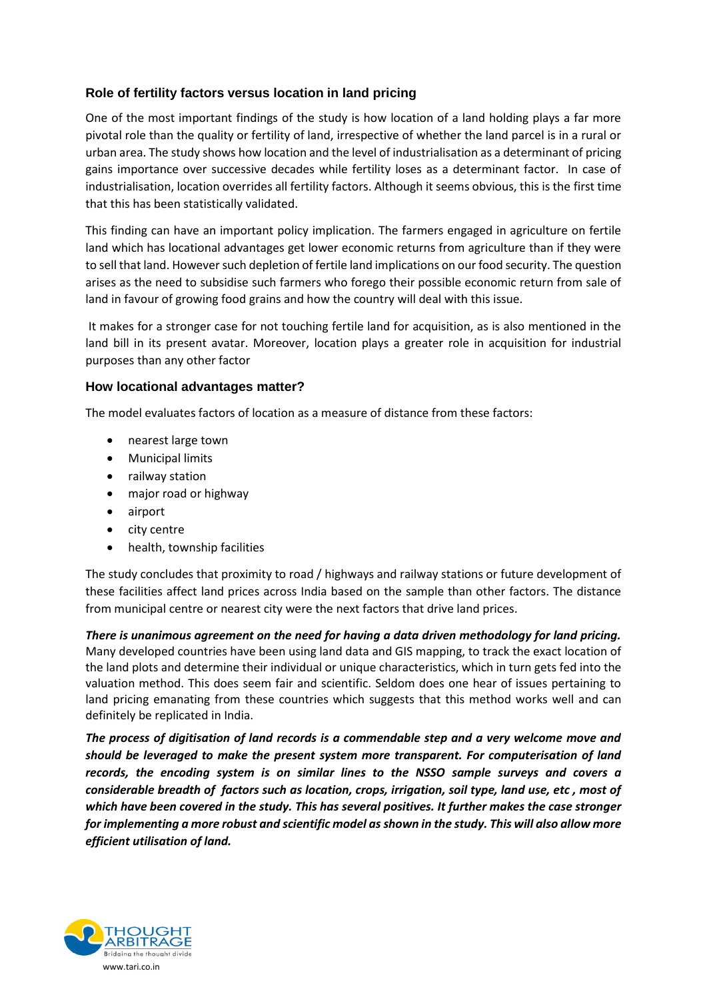# **Role of fertility factors versus location in land pricing**

One of the most important findings of the study is how location of a land holding plays a far more pivotal role than the quality or fertility of land, irrespective of whether the land parcel is in a rural or urban area. The study shows how location and the level of industrialisation as a determinant of pricing gains importance over successive decades while fertility loses as a determinant factor. In case of industrialisation, location overrides all fertility factors. Although it seems obvious, this is the first time that this has been statistically validated.

This finding can have an important policy implication. The farmers engaged in agriculture on fertile land which has locational advantages get lower economic returns from agriculture than if they were to sell that land. However such depletion of fertile land implications on our food security. The question arises as the need to subsidise such farmers who forego their possible economic return from sale of land in favour of growing food grains and how the country will deal with this issue.

It makes for a stronger case for not touching fertile land for acquisition, as is also mentioned in the land bill in its present avatar. Moreover, location plays a greater role in acquisition for industrial purposes than any other factor

### **How locational advantages matter?**

The model evaluates factors of location as a measure of distance from these factors:

- nearest large town
- Municipal limits
- railway station
- major road or highway
- airport
- city centre
- health, township facilities

The study concludes that proximity to road / highways and railway stations or future development of these facilities affect land prices across India based on the sample than other factors. The distance from municipal centre or nearest city were the next factors that drive land prices.

*There is unanimous agreement on the need for having a data driven methodology for land pricing.* Many developed countries have been using land data and GIS mapping, to track the exact location of the land plots and determine their individual or unique characteristics, which in turn gets fed into the valuation method. This does seem fair and scientific. Seldom does one hear of issues pertaining to land pricing emanating from these countries which suggests that this method works well and can definitely be replicated in India.

*The process of digitisation of land records is a commendable step and a very welcome move and should be leveraged to make the present system more transparent. For computerisation of land records, the encoding system is on similar lines to the NSSO sample surveys and covers a considerable breadth of factors such as location, crops, irrigation, soil type, land use, etc , most of which have been covered in the study. This has several positives. It further makes the case stronger for implementing a more robust and scientific model as shown in the study. This will also allow more efficient utilisation of land.*